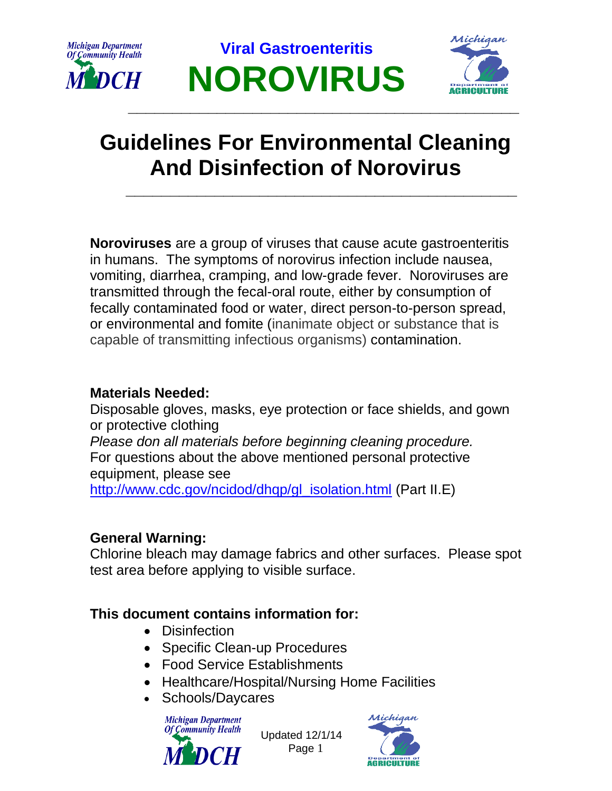

**Viral Gastroenteritis NOROVIRUS**



# **Guidelines For Environmental Cleaning And Disinfection of Norovirus**

**\_\_\_\_\_\_\_\_\_\_\_\_\_\_\_\_\_\_\_\_\_\_\_\_\_\_\_\_\_\_\_\_\_\_\_\_\_\_\_\_\_\_\_\_**

**\_\_\_\_\_\_\_\_\_\_\_\_\_\_\_\_\_\_\_\_\_\_\_\_\_\_\_\_\_\_\_\_\_\_\_\_\_\_\_\_\_\_\_\_**

**Noroviruses** are a group of viruses that cause acute gastroenteritis in humans. The symptoms of norovirus infection include nausea, vomiting, diarrhea, cramping, and low-grade fever. Noroviruses are transmitted through the fecal-oral route, either by consumption of fecally contaminated food or water, direct person-to-person spread, or environmental and fomite (inanimate object or substance that is capable of transmitting infectious organisms) contamination.

### **Materials Needed:**

Disposable gloves, masks, eye protection or face shields, and gown or protective clothing *Please don all materials before beginning cleaning procedure.*  For questions about the above mentioned personal protective equipment, please see [http://www.cdc.gov/ncidod/dhqp/gl\\_isolation.html](http://www.cdc.gov/ncidod/dhqp/gl_isolation.html) (Part II.E)

### **General Warning:**

Chlorine bleach may damage fabrics and other surfaces. Please spot test area before applying to visible surface.

### **This document contains information for:**

- Disinfection
- Specific Clean-up Procedures
- Food Service Establishments
- Healthcare/Hospital/Nursing Home Facilities
- Schools/Daycares



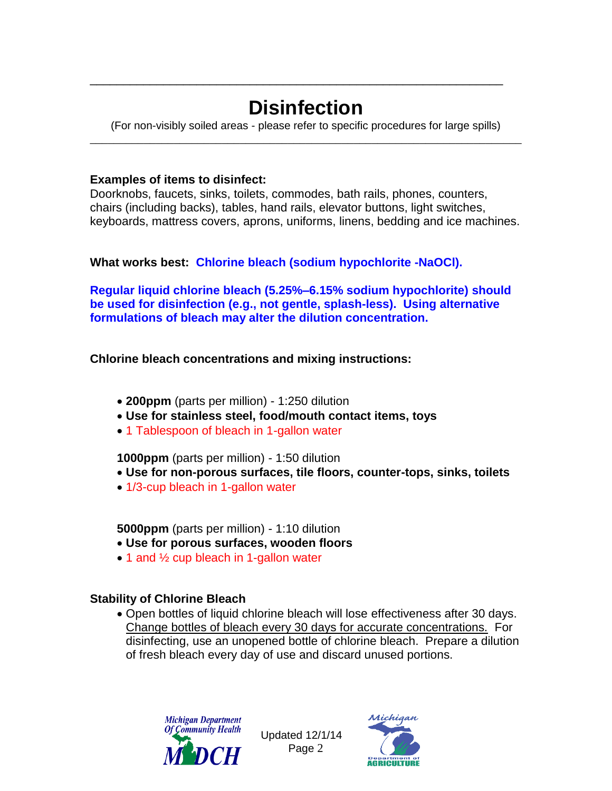# **Disinfection**

\_\_\_\_\_\_\_\_\_\_\_\_\_\_\_\_\_\_\_\_\_\_\_\_\_\_\_\_\_\_\_\_\_\_\_\_\_\_\_\_\_\_\_\_\_\_\_\_\_\_\_\_\_\_\_\_\_\_\_\_\_\_

(For non-visibly soiled areas - please refer to specific procedures for large spills) \_\_\_\_\_\_\_\_\_\_\_\_\_\_\_\_\_\_\_\_\_\_\_\_\_\_\_\_\_\_\_\_\_\_\_\_\_\_\_\_\_\_\_\_\_\_\_\_\_\_\_\_\_\_\_\_\_\_\_\_\_\_\_\_\_\_\_\_\_\_\_\_

### **Examples of items to disinfect:**

Doorknobs, faucets, sinks, toilets, commodes, bath rails, phones, counters, chairs (including backs), tables, hand rails, elevator buttons, light switches, keyboards, mattress covers, aprons, uniforms, linens, bedding and ice machines.

### **What works best: Chlorine bleach (sodium hypochlorite -NaOCl).**

**Regular liquid chlorine bleach (5.25%–6.15% sodium hypochlorite) should be used for disinfection (e.g., not gentle, splash-less). Using alternative formulations of bleach may alter the dilution concentration.** 

### **Chlorine bleach concentrations and mixing instructions:**

- **200ppm** (parts per million) 1:250 dilution
- **Use for stainless steel, food/mouth contact items, toys**
- 1 Tablespoon of bleach in 1-gallon water

### **1000ppm** (parts per million) - 1:50 dilution

- **Use for non-porous surfaces, tile floors, counter-tops, sinks, toilets**
- 1/3-cup bleach in 1-gallon water

**5000ppm** (parts per million) - 1:10 dilution

- **Use for porous surfaces, wooden floors**
- 1 and 1/2 cup bleach in 1-gallon water

### **Stability of Chlorine Bleach**

 Open bottles of liquid chlorine bleach will lose effectiveness after 30 days. Change bottles of bleach every 30 days for accurate concentrations. For disinfecting, use an unopened bottle of chlorine bleach. Prepare a dilution of fresh bleach every day of use and discard unused portions.



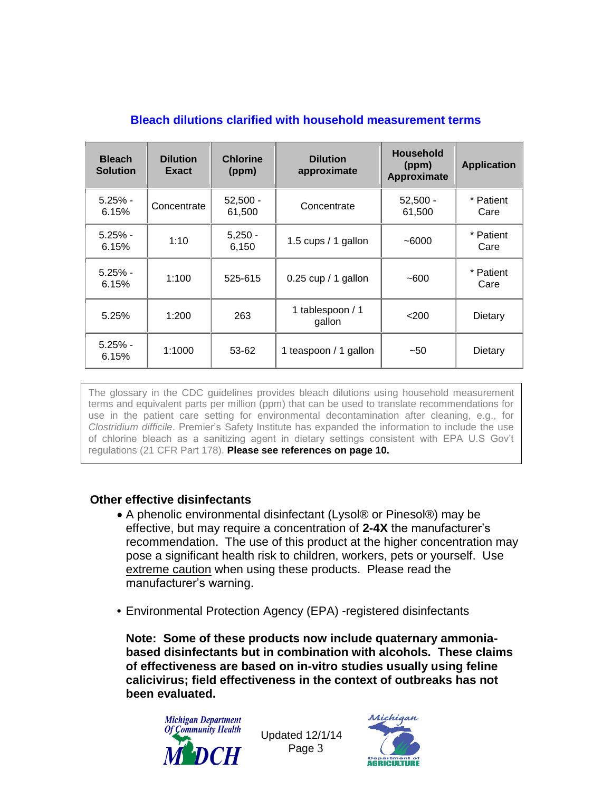| <b>Bleach</b><br><b>Solution</b> | <b>Dilution</b><br>Exact | <b>Chlorine</b><br>(ppm) | <b>Dilution</b><br>approximate | <b>Household</b><br>(ppm)<br>Approximate | <b>Application</b> |
|----------------------------------|--------------------------|--------------------------|--------------------------------|------------------------------------------|--------------------|
| $5.25% -$<br>6.15%               | Concentrate              | $52,500 -$<br>61,500     | Concentrate                    | $52,500 -$<br>61,500                     | * Patient<br>Care  |
| $5.25% -$<br>6.15%               | 1:10                     | $5,250 -$<br>6,150       | 1.5 cups / 1 gallon            | $-6000$                                  | * Patient<br>Care  |
| $5.25% -$<br>6.15%               | 1:100                    | 525-615                  | $0.25$ cup / 1 gallon          | $-600$                                   | * Patient<br>Care  |
| 5.25%                            | 1:200                    | 263                      | 1 tablespoon / 1<br>gallon     | $<$ 200                                  | Dietary            |
| $5.25% -$<br>6.15%               | 1:1000                   | 53-62                    | 1 teaspoon / 1 gallon          | $-50$                                    | Dietary            |

#### **Bleach dilutions clarified with household measurement terms**

The glossary in the CDC guidelines provides bleach dilutions using household measurement terms and equivalent parts per million (ppm) that can be used to translate recommendations for use in the patient care setting for environmental decontamination after cleaning, e.g., for *[Clostridium difficile](http://lyris.premierinc.com/t/178262/140632/5193/0/?u=aHR0cDovL3d3dy5wcmVtaWVyaW5jLmNvbS9xdWFsaXR5LXNhZmV0eS90b29scy1zZXJ2aWNlcy9zYWZldHkvdG9waWNzL2NkYWQvY2xlYW5pbmcuanNw&x=2f6267b6)*. Premier's Safety Institute has expanded the information to include the use of chlorine bleach as a sanitizing agent in dietary settings consistent with EPA U.S Gov't regulations (21 CFR Part 178). **Please see references on page 10.**

### **Other effective disinfectants**

- A phenolic environmental disinfectant (Lysol® or Pinesol®) may be effective, but may require a concentration of **2-4X** the manufacturer's recommendation. The use of this product at the higher concentration may pose a significant health risk to children, workers, pets or yourself. Use extreme caution when using these products. Please read the manufacturer's warning.
- **•** Environmental Protection Agency (EPA) -registered disinfectants

**Note: Some of these products now include quaternary ammoniabased disinfectants but in combination with alcohols. These claims of effectiveness are based on in-vitro studies usually using feline calicivirus; field effectiveness in the context of outbreaks has not been evaluated.** 



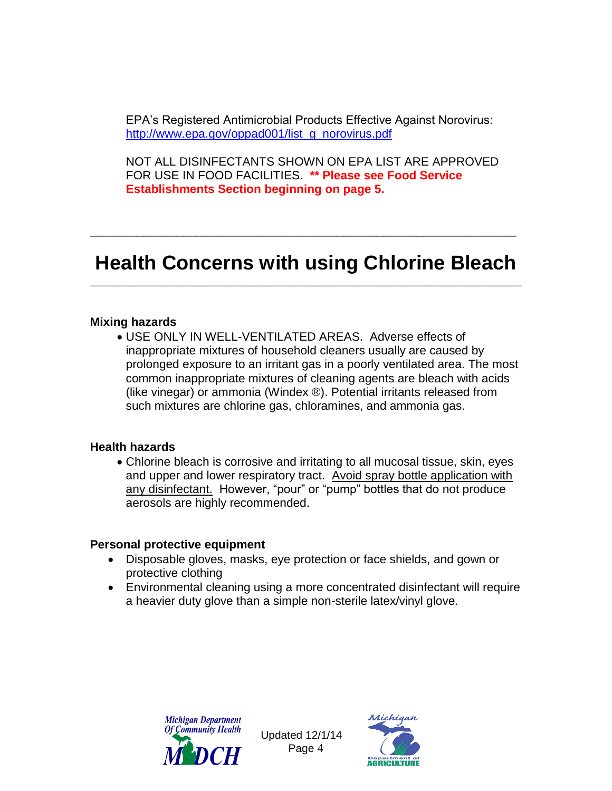EPA's Registered Antimicrobial Products Effective Against Norovirus: [http://www.epa.gov/oppad001/list\\_g\\_norovirus.pdf](http://www.epa.gov/oppad001/list_g_norovirus.pdf)

NOT ALL DISINFECTANTS SHOWN ON EPA LIST ARE APPROVED FOR USE IN FOOD FACILITIES. **\*\* Please see Food Service Establishments Section beginning on page 5.**

### **Health Concerns with using Chlorine Bleach** \_\_\_\_\_\_\_\_\_\_\_\_\_\_\_\_\_\_\_\_\_\_\_\_\_\_\_\_\_\_\_\_\_\_\_\_\_\_\_\_\_\_\_\_\_\_\_\_\_\_\_\_\_\_\_\_\_\_\_\_\_\_\_\_\_\_\_\_\_\_\_\_

\_\_\_\_\_\_\_\_\_\_\_\_\_\_\_\_\_\_\_\_\_\_\_\_\_\_\_\_\_\_\_\_\_\_\_\_\_\_\_\_\_\_\_\_\_\_\_\_\_\_\_\_\_\_\_\_\_\_\_\_\_\_\_\_

#### **Mixing hazards**

 USE ONLY IN WELL-VENTILATED AREAS. Adverse effects of inappropriate mixtures of household cleaners usually are caused by prolonged exposure to an irritant gas in a poorly ventilated area. The most common inappropriate mixtures of cleaning agents are bleach with acids (like vinegar) or ammonia (Windex ®). Potential irritants released from such mixtures are chlorine gas, chloramines, and ammonia gas.

#### **Health hazards**

 Chlorine bleach is corrosive and irritating to all mucosal tissue, skin, eyes and upper and lower respiratory tract. Avoid spray bottle application with any disinfectant. However, "pour" or "pump" bottles that do not produce aerosols are highly recommended.

#### **Personal protective equipment**

- Disposable gloves, masks, eye protection or face shields, and gown or protective clothing
- Environmental cleaning using a more concentrated disinfectant will require a heavier duty glove than a simple non-sterile latex/vinyl glove.



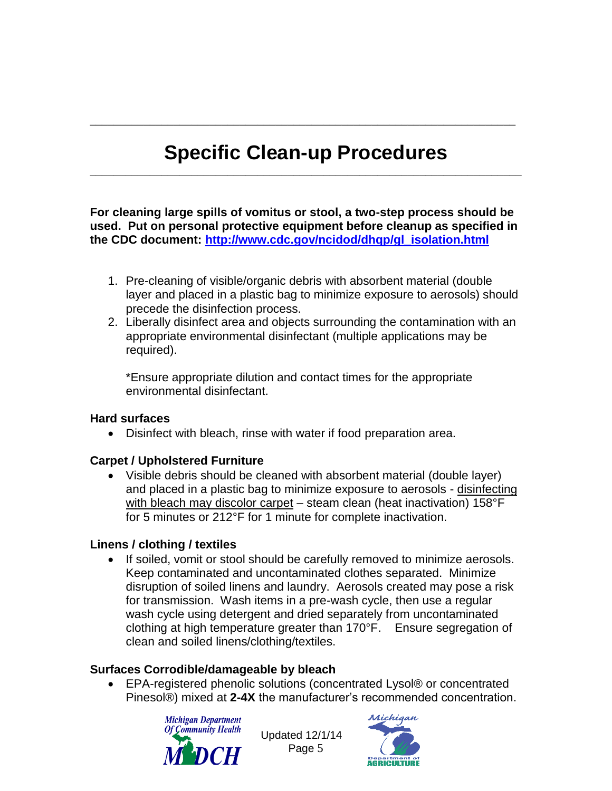## **Specific Clean-up Procedures** \_\_\_\_\_\_\_\_\_\_\_\_\_\_\_\_\_\_\_\_\_\_\_\_\_\_\_\_\_\_\_\_\_\_\_\_\_\_\_\_\_\_\_\_\_\_\_\_\_\_\_\_\_\_\_\_\_\_\_\_\_\_\_\_\_\_\_\_\_\_\_\_

\_\_\_\_\_\_\_\_\_\_\_\_\_\_\_\_\_\_\_\_\_\_\_\_\_\_\_\_\_\_\_\_\_\_\_\_\_\_\_\_\_\_\_\_\_\_\_\_\_\_\_\_\_\_\_\_\_\_\_\_\_\_\_\_\_\_\_\_\_\_\_

**For cleaning large spills of vomitus or stool, a two-step process should be used. Put on personal protective equipment before cleanup as specified in the CDC document: [http://www.cdc.gov/ncidod/dhqp/gl\\_isolation.html](http://www.cdc.gov/ncidod/dhqp/gl_isolation.html)**

- 1. Pre-cleaning of visible/organic debris with absorbent material (double layer and placed in a plastic bag to minimize exposure to aerosols) should precede the disinfection process.
- 2. Liberally disinfect area and objects surrounding the contamination with an appropriate environmental disinfectant (multiple applications may be required).

\*Ensure appropriate dilution and contact times for the appropriate environmental disinfectant.

### **Hard surfaces**

Disinfect with bleach, rinse with water if food preparation area.

### **Carpet / Upholstered Furniture**

 Visible debris should be cleaned with absorbent material (double layer) and placed in a plastic bag to minimize exposure to aerosols - disinfecting with bleach may discolor carpet – steam clean (heat inactivation) 158°F for 5 minutes or 212°F for 1 minute for complete inactivation.

### **Linens / clothing / textiles**

 If soiled, vomit or stool should be carefully removed to minimize aerosols. Keep contaminated and uncontaminated clothes separated. Minimize disruption of soiled linens and laundry. Aerosols created may pose a risk for transmission. Wash items in a pre-wash cycle, then use a regular wash cycle using detergent and dried separately from uncontaminated clothing at high temperature greater than 170°F. Ensure segregation of clean and soiled linens/clothing/textiles.

### **Surfaces Corrodible/damageable by bleach**

● EPA-registered phenolic solutions (concentrated Lysol® or concentrated Pinesol®) mixed at **2-4X** the manufacturer's recommended concentration.



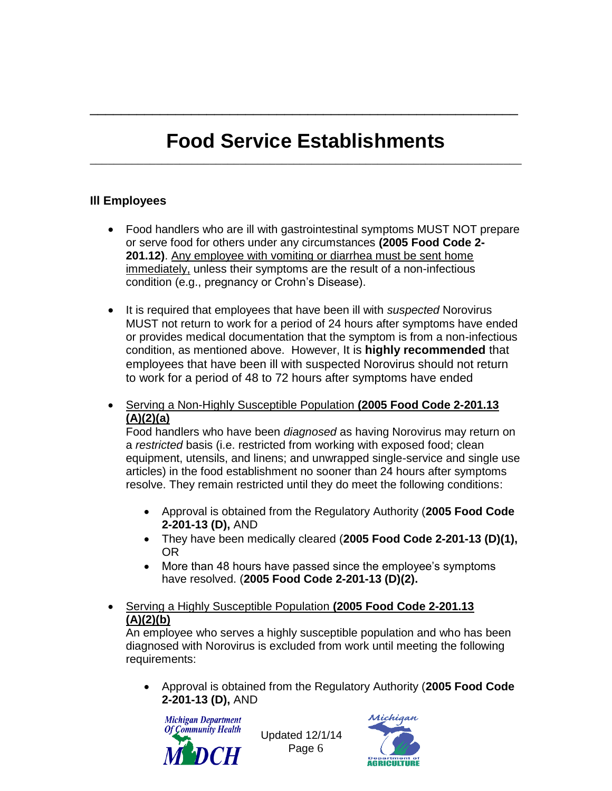## **Food Service Establishments** \_\_\_\_\_\_\_\_\_\_\_\_\_\_\_\_\_\_\_\_\_\_\_\_\_\_\_\_\_\_\_\_\_\_\_\_\_\_\_\_\_\_\_\_\_\_\_\_\_\_\_\_\_\_\_\_\_\_\_\_\_\_\_\_\_\_\_\_\_\_\_\_

\_\_\_\_\_\_\_\_\_\_\_\_\_\_\_\_\_\_\_\_\_\_\_\_\_\_\_\_\_\_\_\_\_\_\_\_\_\_\_\_\_\_\_\_\_\_\_\_\_\_\_\_\_\_\_

### **Ill Employees**

- Food handlers who are ill with gastrointestinal symptoms MUST NOT prepare or serve food for others under any circumstances **(2005 Food Code 2-** 201.12). Any employee with vomiting or diarrhea must be sent home immediately, unless their symptoms are the result of a non-infectious condition (e.g., pregnancy or Crohn's Disease).
- It is required that employees that have been ill with *suspected* Norovirus MUST not return to work for a period of 24 hours after symptoms have ended or provides medical documentation that the symptom is from a non-infectious condition, as mentioned above. However, It is **highly recommended** that employees that have been ill with suspected Norovirus should not return to work for a period of 48 to 72 hours after symptoms have ended
- Serving a Non-Highly Susceptible Population **(2005 Food Code 2-201.13 (A)(2)(a)**

Food handlers who have been *diagnosed* as having Norovirus may return on a *restricted* basis (i.e. restricted from working with exposed food; clean equipment, utensils, and linens; and unwrapped single-service and single use articles) in the food establishment no sooner than 24 hours after symptoms resolve. They remain restricted until they do meet the following conditions:

- Approval is obtained from the Regulatory Authority (**2005 Food Code 2-201-13 (D),** AND
- They have been medically cleared (**2005 Food Code 2-201-13 (D)(1),** OR
- More than 48 hours have passed since the employee's symptoms have resolved. (**2005 Food Code 2-201-13 (D)(2).**

### Serving a Highly Susceptible Population **(2005 Food Code 2-201.13 (A)(2)(b)**

An employee who serves a highly susceptible population and who has been diagnosed with Norovirus is excluded from work until meeting the following requirements:

 Approval is obtained from the Regulatory Authority (**2005 Food Code 2-201-13 (D),** AND



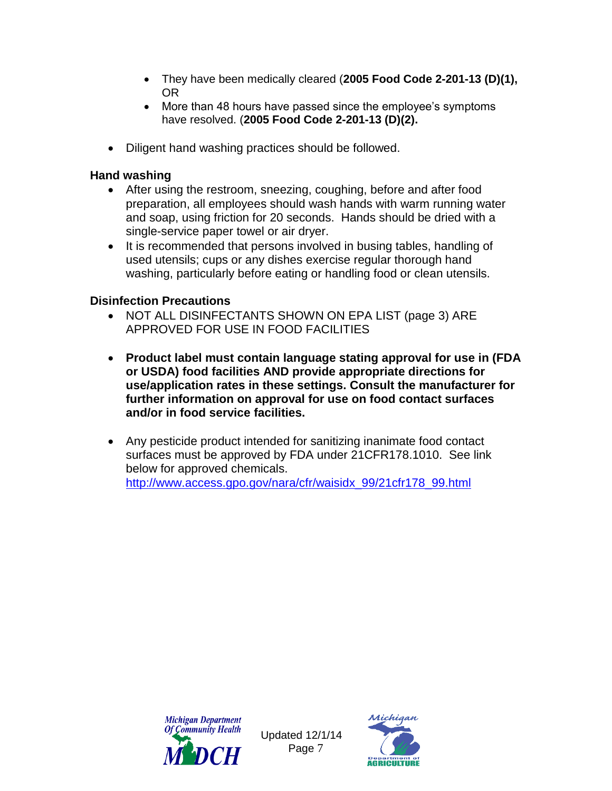- They have been medically cleared (**2005 Food Code 2-201-13 (D)(1),** OR
- More than 48 hours have passed since the employee's symptoms have resolved. (**2005 Food Code 2-201-13 (D)(2).**
- Diligent hand washing practices should be followed.

### **Hand washing**

- After using the restroom, sneezing, coughing, before and after food preparation, all employees should wash hands with warm running water and soap, using friction for 20 seconds. Hands should be dried with a single-service paper towel or air dryer.
- It is recommended that persons involved in busing tables, handling of used utensils; cups or any dishes exercise regular thorough hand washing, particularly before eating or handling food or clean utensils.

### **Disinfection Precautions**

- NOT ALL DISINFECTANTS SHOWN ON EPA LIST (page 3) ARE APPROVED FOR USE IN FOOD FACILITIES
- **Product label must contain language stating approval for use in (FDA or USDA) food facilities AND provide appropriate directions for use/application rates in these settings. Consult the manufacturer for further information on approval for use on food contact surfaces and/or in food service facilities.**
- Any pesticide product intended for sanitizing inanimate food contact surfaces must be approved by FDA under 21CFR178.1010. See link below for approved chemicals.

[http://www.access.gpo.gov/nara/cfr/waisidx\\_99/21cfr178\\_99.html](http://www.access.gpo.gov/nara/cfr/waisidx_99/21cfr178_99.html)



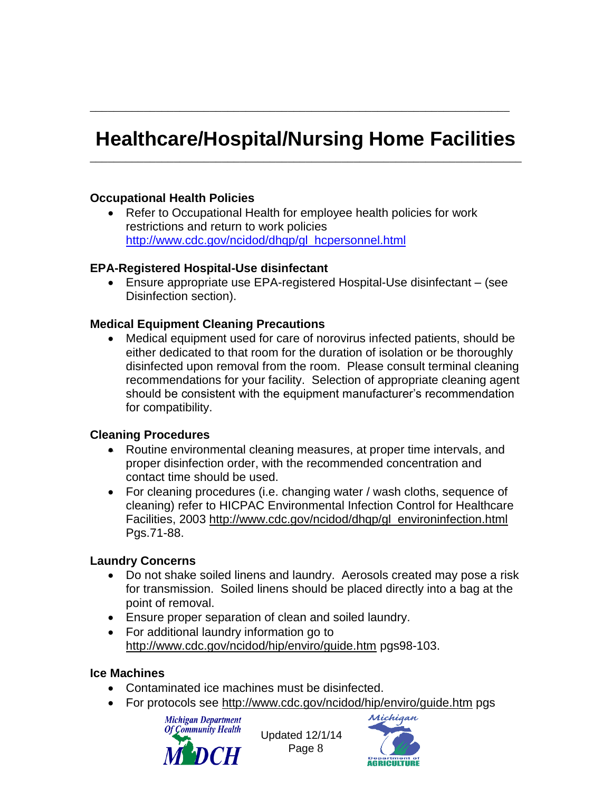## **Healthcare/Hospital/Nursing Home Facilities** \_\_\_\_\_\_\_\_\_\_\_\_\_\_\_\_\_\_\_\_\_\_\_\_\_\_\_\_\_\_\_\_\_\_\_\_\_\_\_\_\_\_\_\_\_\_\_\_\_\_\_\_\_\_\_\_\_\_\_\_\_\_\_\_\_\_\_\_\_\_\_\_

\_\_\_\_\_\_\_\_\_\_\_\_\_\_\_\_\_\_\_\_\_\_\_\_\_\_\_\_\_\_\_\_\_\_\_\_\_\_\_\_\_\_\_\_\_\_\_\_\_\_\_\_\_\_\_\_\_\_\_\_\_\_\_\_\_\_\_\_\_\_

### **Occupational Health Policies**

 Refer to Occupational Health for employee health policies for work restrictions and return to work policies [http://www.cdc.gov/ncidod/dhqp/gl\\_hcpersonnel.html](http://www.cdc.gov/ncidod/dhqp/gl_hcpersonnel.html)

### **EPA-Registered Hospital-Use disinfectant**

 Ensure appropriate use EPA-registered Hospital-Use disinfectant – (see Disinfection section).

### **Medical Equipment Cleaning Precautions**

 Medical equipment used for care of norovirus infected patients, should be either dedicated to that room for the duration of isolation or be thoroughly disinfected upon removal from the room. Please consult terminal cleaning recommendations for your facility. Selection of appropriate cleaning agent should be consistent with the equipment manufacturer's recommendation for compatibility.

### **Cleaning Procedures**

- Routine environmental cleaning measures, at proper time intervals, and proper disinfection order, with the recommended concentration and contact time should be used.
- For cleaning procedures (i.e. changing water / wash cloths, sequence of cleaning) refer to HICPAC Environmental Infection Control for Healthcare Facilities, 2003 [http://www.cdc.gov/ncidod/dhqp/gl\\_environinfection.html](http://www.cdc.gov/ncidod/dhqp/gl_environinfection.html) Pgs.71-88.

### **Laundry Concerns**

- Do not shake soiled linens and laundry. Aerosols created may pose a risk for transmission. Soiled linens should be placed directly into a bag at the point of removal.
- Ensure proper separation of clean and soiled laundry.
- For additional laundry information go to <http://www.cdc.gov/ncidod/hip/enviro/guide.htm> pgs98-103.

### **Ice Machines**

- Contaminated ice machines must be disinfected.
- For protocols see<http://www.cdc.gov/ncidod/hip/enviro/guide.htm> pgs



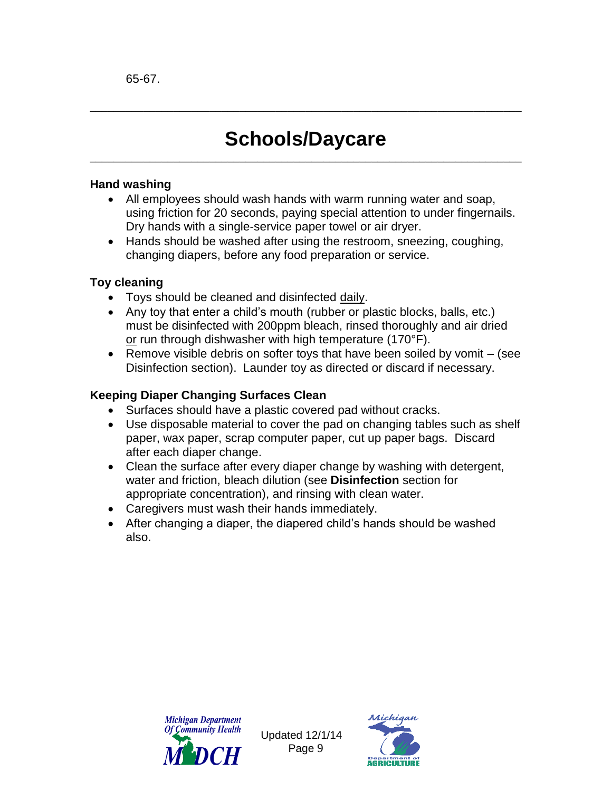## **Schools/Daycare** \_\_\_\_\_\_\_\_\_\_\_\_\_\_\_\_\_\_\_\_\_\_\_\_\_\_\_\_\_\_\_\_\_\_\_\_\_\_\_\_\_\_\_\_\_\_\_\_\_\_\_\_\_\_\_\_\_\_\_\_\_\_\_\_\_\_\_\_\_\_\_\_

\_\_\_\_\_\_\_\_\_\_\_\_\_\_\_\_\_\_\_\_\_\_\_\_\_\_\_\_\_\_\_\_\_\_\_\_\_\_\_\_\_\_\_\_\_\_\_\_\_\_\_\_\_\_\_\_\_\_\_\_\_\_\_\_\_\_\_\_\_\_\_\_

### **Hand washing**

- All employees should wash hands with warm running water and soap, using friction for 20 seconds, paying special attention to under fingernails. Dry hands with a single-service paper towel or air dryer.
- Hands should be washed after using the restroom, sneezing, coughing, changing diapers, before any food preparation or service.

### **Toy cleaning**

- Toys should be cleaned and disinfected daily.
- Any toy that enter a child's mouth (rubber or plastic blocks, balls, etc.) must be disinfected with 200ppm bleach, rinsed thoroughly and air dried or run through dishwasher with high temperature (170°F).
- **•** Remove visible debris on softer toys that have been soiled by vomit  $-$  (see Disinfection section). Launder toy as directed or discard if necessary.

### **Keeping Diaper Changing Surfaces Clean**

- Surfaces should have a plastic covered pad without cracks.
- Use disposable material to cover the pad on changing tables such as shelf paper, wax paper, scrap computer paper, cut up paper bags. Discard after each diaper change.
- Clean the surface after every diaper change by washing with detergent, water and friction, bleach dilution (see **Disinfection** section for appropriate concentration), and rinsing with clean water.
- Caregivers must wash their hands immediately.
- After changing a diaper, the diapered child's hands should be washed also.



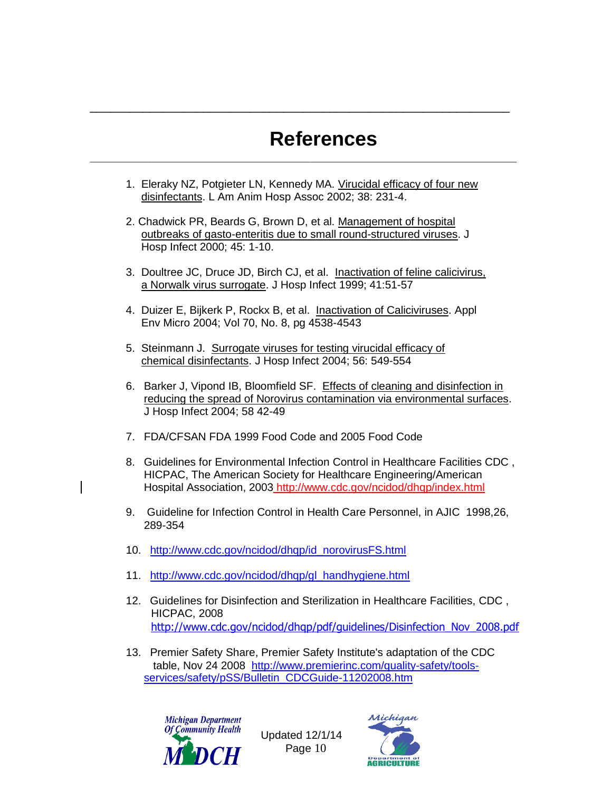# **References**

1. Eleraky NZ, Potgieter LN, Kennedy MA. Virucidal efficacy of four new disinfectants. L Am Anim Hosp Assoc 2002; 38: 231-4.

**\_\_\_\_\_\_\_\_\_\_\_\_\_\_\_\_\_\_\_\_\_\_\_\_\_\_\_\_\_\_\_\_\_\_\_\_\_\_\_\_\_\_\_\_\_\_\_\_\_\_\_\_\_\_\_\_\_\_\_\_\_\_\_\_**

\_\_\_\_\_\_\_\_\_\_\_\_\_\_\_\_\_\_\_\_\_\_\_\_\_\_\_\_\_\_\_\_\_\_\_\_\_\_\_\_\_\_\_\_\_\_\_\_\_\_\_\_\_\_\_\_\_\_\_\_\_\_\_

- 2. Chadwick PR, Beards G, Brown D, et al. Management of hospital outbreaks of gasto-enteritis due to small round-structured viruses. J Hosp Infect 2000; 45: 1-10.
- 3. Doultree JC, Druce JD, Birch CJ, et al. Inactivation of feline calicivirus, a Norwalk virus surrogate. J Hosp Infect 1999; 41:51-57
- 4. Duizer E, Bijkerk P, Rockx B, et al. Inactivation of Caliciviruses. Appl Env Micro 2004; Vol 70, No. 8, pg 4538-4543
- 5. Steinmann J. Surrogate viruses for testing virucidal efficacy of chemical disinfectants. J Hosp Infect 2004; 56: 549-554
- 6. Barker J, Vipond IB, Bloomfield SF. Effects of cleaning and disinfection in reducing the spread of Norovirus contamination via environmental surfaces. J Hosp Infect 2004; 58 42-49
- 7. FDA/CFSAN FDA 1999 Food Code and 2005 Food Code
- 8. Guidelines for Environmental Infection Control in Healthcare Facilities CDC , HICPAC, The American Society for Healthcare Engineering/American Hospital Association, 2003 <http://www.cdc.gov/ncidod/dhqp/index.html>
- 9. Guideline for Infection Control in Health Care Personnel, in AJIC 1998,26, 289-354
- 10. [http://www.cdc.gov/ncidod/dhqp/id\\_norovirusFS.html](http://www.cdc.gov/ncidod/dhqp/id_norovirusFS.html)
- 11. [http://www.cdc.gov/ncidod/dhqp/gl\\_handhygiene.html](http://www.cdc.gov/ncidod/dhqp/gl_handhygiene.html)
- 12. Guidelines for Disinfection and Sterilization in Healthcare Facilities, CDC , HICPAC, 2008[http://www.cdc.gov/ncidod/dhqp/pdf/guidelines/Disinfection\\_Nov\\_2008.pdf](http://www.cdc.gov/ncidod/dhqp/pdf/guidelines/Disinfection_Nov_2008.pdf)
- 13. Premier Safety Share, Premier Safety Institute's adaptation of the CDC table, Nov 24 2008 [http://www.premierinc.com/quality-safety/tools](http://www.premierinc.com/quality-safety/tools-services/safety/pSS/Bulletin_CDCGuide-11202008.htm)[services/safety/pSS/Bulletin\\_CDCGuide-11202008.htm](http://www.premierinc.com/quality-safety/tools-services/safety/pSS/Bulletin_CDCGuide-11202008.htm)